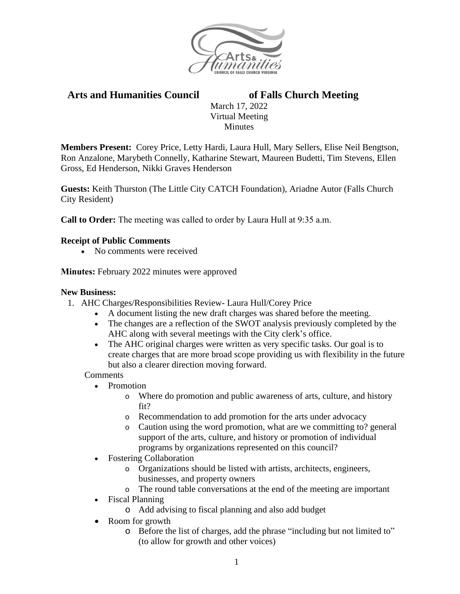

# **Arts and Humanities Council of Falls Church Meeting**

March 17, 2022 Virtual Meeting Minutes

**Members Present:** Corey Price, Letty Hardi, Laura Hull, Mary Sellers, Elise Neil Bengtson, Ron Anzalone, Marybeth Connelly, Katharine Stewart, Maureen Budetti, Tim Stevens, Ellen Gross, Ed Henderson, Nikki Graves Henderson

**Guests:** Keith Thurston (The Little City CATCH Foundation), Ariadne Autor (Falls Church City Resident)

**Call to Order:** The meeting was called to order by Laura Hull at 9:35 a.m.

### **Receipt of Public Comments**

• No comments were received

**Minutes:** February 2022 minutes were approved

#### **New Business:**

- 1. AHC Charges/Responsibilities Review- Laura Hull/Corey Price
	- A document listing the new draft charges was shared before the meeting.
	- The changes are a reflection of the SWOT analysis previously completed by the AHC along with several meetings with the City clerk's office.
	- The AHC original charges were written as very specific tasks. Our goal is to create charges that are more broad scope providing us with flexibility in the future but also a clearer direction moving forward.

**Comments** 

- Promotion
	- o Where do promotion and public awareness of arts, culture, and history fit?
	- o Recommendation to add promotion for the arts under advocacy
	- o Caution using the word promotion, what are we committing to? general support of the arts, culture, and history or promotion of individual programs by organizations represented on this council?
- Fostering Collaboration
	- o Organizations should be listed with artists, architects, engineers, businesses, and property owners
	- o The round table conversations at the end of the meeting are important
- Fiscal Planning
	- o Add advising to fiscal planning and also add budget
- Room for growth
	- o Before the list of charges, add the phrase "including but not limited to" (to allow for growth and other voices)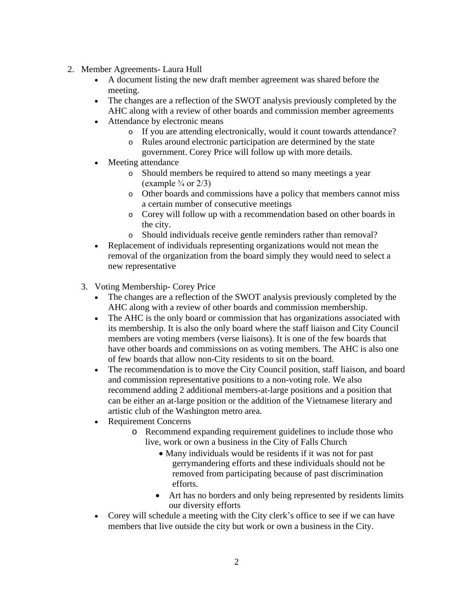- 2. Member Agreements- Laura Hull
	- A document listing the new draft member agreement was shared before the meeting.
	- The changes are a reflection of the SWOT analysis previously completed by the AHC along with a review of other boards and commission member agreements
	- Attendance by electronic means
		- o If you are attending electronically, would it count towards attendance?
		- o Rules around electronic participation are determined by the state government. Corey Price will follow up with more details.
	- Meeting attendance
		- o Should members be required to attend so many meetings a year (example  $\frac{3}{4}$  or  $\frac{2}{3}$ )
		- o Other boards and commissions have a policy that members cannot miss a certain number of consecutive meetings
		- o Corey will follow up with a recommendation based on other boards in the city.
		- o Should individuals receive gentle reminders rather than removal?
	- Replacement of individuals representing organizations would not mean the removal of the organization from the board simply they would need to select a new representative
	- 3. Voting Membership- Corey Price
		- The changes are a reflection of the SWOT analysis previously completed by the AHC along with a review of other boards and commission membership.
		- The AHC is the only board or commission that has organizations associated with its membership. It is also the only board where the staff liaison and City Council members are voting members (verse liaisons). It is one of the few boards that have other boards and commissions on as voting members. The AHC is also one of few boards that allow non-City residents to sit on the board.
		- The recommendation is to move the City Council position, staff liaison, and board and commission representative positions to a non-voting role. We also recommend adding 2 additional members-at-large positions and a position that can be either an at-large position or the addition of the Vietnamese literary and artistic club of the Washington metro area.
		- Requirement Concerns
			- o Recommend expanding requirement guidelines to include those who live, work or own a business in the City of Falls Church
				- Many individuals would be residents if it was not for past gerrymandering efforts and these individuals should not be removed from participating because of past discrimination efforts.
				- Art has no borders and only being represented by residents limits our diversity efforts
		- Corey will schedule a meeting with the City clerk's office to see if we can have members that live outside the city but work or own a business in the City.